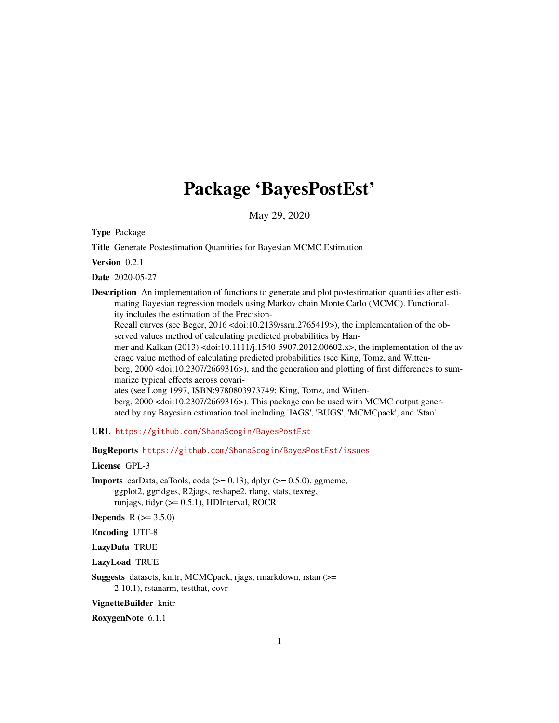# Package 'BayesPostEst'

May 29, 2020

<span id="page-0-0"></span>Type Package

Title Generate Postestimation Quantities for Bayesian MCMC Estimation

Version 0.2.1

Date 2020-05-27

Description An implementation of functions to generate and plot postestimation quantities after estimating Bayesian regression models using Markov chain Monte Carlo (MCMC). Functionality includes the estimation of the Precision-

Recall curves (see Beger, 2016 <doi:10.2139/ssrn.2765419>), the implementation of the observed values method of calculating predicted probabilities by Han-

mer and Kalkan (2013) <doi:10.1111/j.1540-5907.2012.00602.x>, the implementation of the average value method of calculating predicted probabilities (see King, Tomz, and Witten-

berg, 2000 <doi:10.2307/2669316>), and the generation and plotting of first differences to summarize typical effects across covari-

ates (see Long 1997, ISBN:9780803973749; King, Tomz, and Wittenberg, 2000 <doi:10.2307/2669316>). This package can be used with MCMC output generated by any Bayesian estimation tool including 'JAGS', 'BUGS', 'MCMCpack', and 'Stan'.

URL <https://github.com/ShanaScogin/BayesPostEst>

BugReports <https://github.com/ShanaScogin/BayesPostEst/issues>

License GPL-3

**Imports** carData, caTools, coda  $(>= 0.13)$ , dplyr  $(>= 0.5.0)$ , ggmcmc, ggplot2, ggridges, R2jags, reshape2, rlang, stats, texreg, runjags, tidyr (>= 0.5.1), HDInterval, ROCR

**Depends**  $R (= 3.5.0)$ 

Encoding UTF-8

LazyData TRUE

LazyLoad TRUE

Suggests datasets, knitr, MCMCpack, rjags, rmarkdown, rstan (>= 2.10.1), rstanarm, testthat, covr

VignetteBuilder knitr

RoxygenNote 6.1.1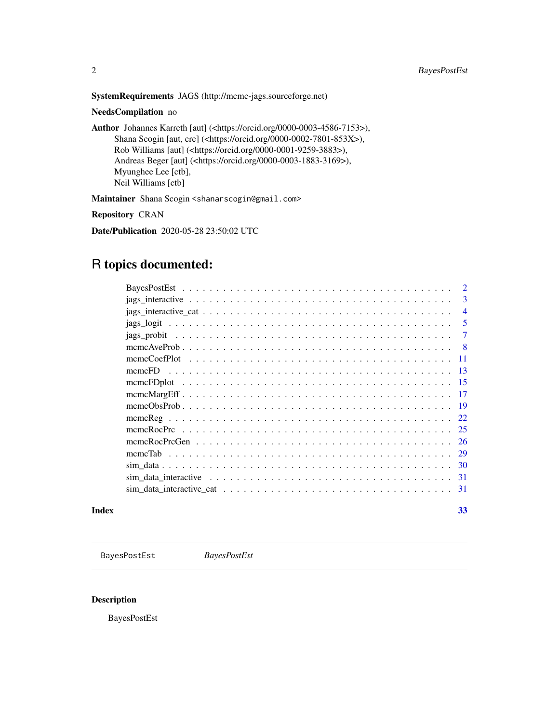<span id="page-1-0"></span>SystemRequirements JAGS (http://mcmc-jags.sourceforge.net)

NeedsCompilation no

Author Johannes Karreth [aut] (<https://orcid.org/0000-0003-4586-7153>), Shana Scogin [aut, cre] (<https://orcid.org/0000-0002-7801-853X>), Rob Williams [aut] (<https://orcid.org/0000-0001-9259-3883>), Andreas Beger [aut] (<https://orcid.org/0000-0003-1883-3169>), Myunghee Lee [ctb], Neil Williams [ctb]

Maintainer Shana Scogin <shanarscogin@gmail.com>

Repository CRAN

Date/Publication 2020-05-28 23:50:02 UTC

# R topics documented:

|       | 3              |
|-------|----------------|
|       | $\overline{4}$ |
|       | -5             |
|       | $\tau$         |
|       |                |
|       |                |
|       |                |
|       |                |
|       |                |
|       |                |
|       |                |
|       |                |
|       |                |
|       |                |
|       |                |
|       |                |
|       |                |
| Index | 33             |

BayesPostEst *BayesPostEst*

# Description

BayesPostEst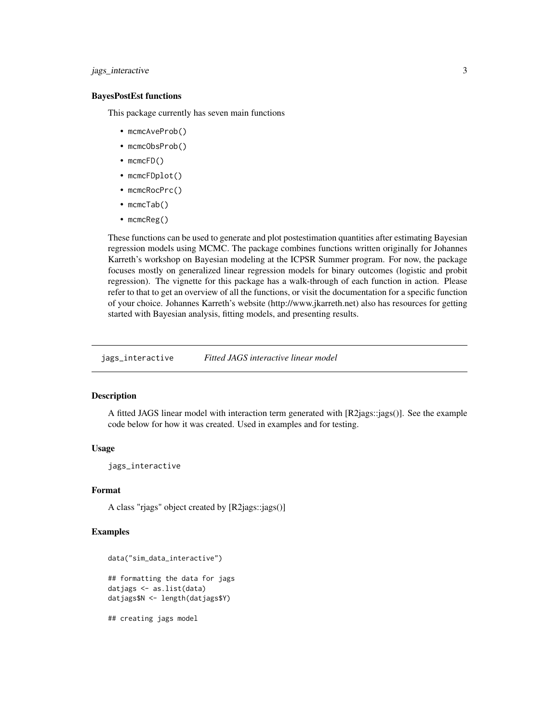# <span id="page-2-0"></span>jags\_interactive 3

#### BayesPostEst functions

This package currently has seven main functions

- mcmcAveProb()
- mcmcObsProb()
- mcmcFD()
- mcmcFDplot()
- mcmcRocPrc()
- mcmcTab()
- mcmcReg()

These functions can be used to generate and plot postestimation quantities after estimating Bayesian regression models using MCMC. The package combines functions written originally for Johannes Karreth's workshop on Bayesian modeling at the ICPSR Summer program. For now, the package focuses mostly on generalized linear regression models for binary outcomes (logistic and probit regression). The vignette for this package has a walk-through of each function in action. Please refer to that to get an overview of all the functions, or visit the documentation for a specific function of your choice. Johannes Karreth's website (http://www.jkarreth.net) also has resources for getting started with Bayesian analysis, fitting models, and presenting results.

jags\_interactive *Fitted JAGS interactive linear model*

#### Description

A fitted JAGS linear model with interaction term generated with [R2jags::jags()]. See the example code below for how it was created. Used in examples and for testing.

#### Usage

jags\_interactive

### Format

A class "rjags" object created by [R2jags::jags()]

```
data("sim_data_interactive")
## formatting the data for jags
datjags <- as.list(data)
datjags$N <- length(datjags$Y)
## creating jags model
```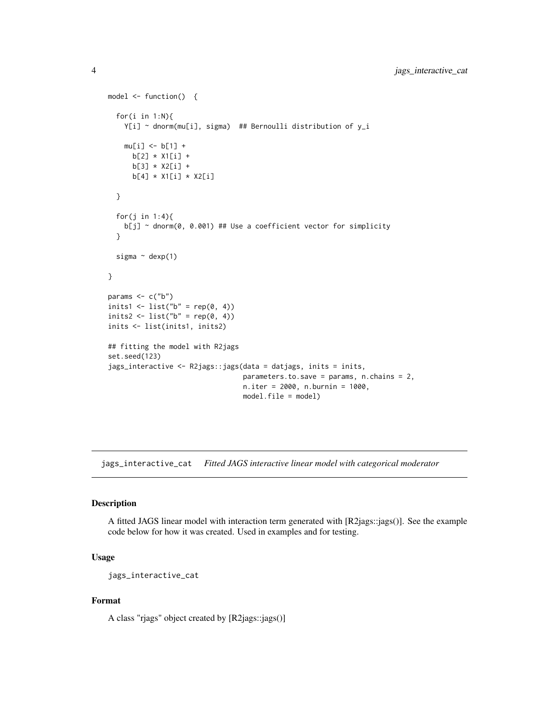```
model <- function() {
  for(i in 1:N){
   Y[i] ~ dnorm(mu[i], sigma) ## Bernoulli distribution of y_i
   mu[i] <- b[1] +
     b[2] * X1[i] +
     b[3] * X2[i] +
     b[4] * X1[i] * X2[i]}
  for(j in 1:4){
   b[j] ~ dnorm(0, 0.001) ## Use a coefficient vector for simplicity
  }
  sigma ~ dexp(1)
}
params \leq -c("b")inits1 <- list("b" = rep(0, 4))
inits2 <- list("b" = rep(0, 4))
inits <- list(inits1, inits2)
## fitting the model with R2jags
set.seed(123)
jags_interactive <- R2jags::jags(data = datjags, inits = inits,
                                 parameters.to.save = params, n.chains = 2,
                                 n.iter = 2000, n.burnin = 1000,
                                 model.file = model)
```
jags\_interactive\_cat *Fitted JAGS interactive linear model with categorical moderator*

#### Description

A fitted JAGS linear model with interaction term generated with [R2jags::jags()]. See the example code below for how it was created. Used in examples and for testing.

# Usage

jags\_interactive\_cat

# Format

A class "rjags" object created by [R2jags::jags()]

<span id="page-3-0"></span>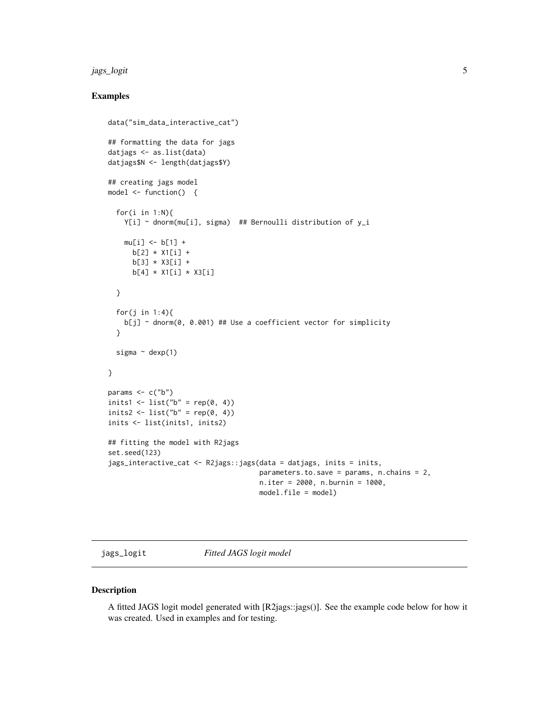#### <span id="page-4-0"></span>jags\_logit 5

#### Examples

```
data("sim_data_interactive_cat")
## formatting the data for jags
datjags <- as.list(data)
datjags$N <- length(datjags$Y)
## creating jags model
model <- function() {
  for(i in 1:N){
   Y[i] ~ dnorm(mu[i], sigma) ## Bernoulli distribution of y_i
   mu[i] < -b[1] +b[2] * X1[i] +
     b[3] * X3[i] +b[4] * X1[i] * X3[i]
  }
  for(j in 1:4){
   b[j] ~ dnorm(0, 0.001) ## Use a coefficient vector for simplicity
  }
  sigma ~\sim dexp(1)
}
params \leq -c("b")inits1 <- list("b" = rep(0, 4))
inits2 <- list("b" = rep(0, 4))
inits <- list(inits1, inits2)
## fitting the model with R2jags
set.seed(123)
jags_interactive_cat <- R2jags::jags(data = datjags, inits = inits,
                                     parameters.to.save = params, n.chains = 2,
                                     n.iter = 2000, n.burnin = 1000,
                                     model.file = model)
```
jags\_logit *Fitted JAGS logit model*

#### Description

A fitted JAGS logit model generated with [R2jags::jags()]. See the example code below for how it was created. Used in examples and for testing.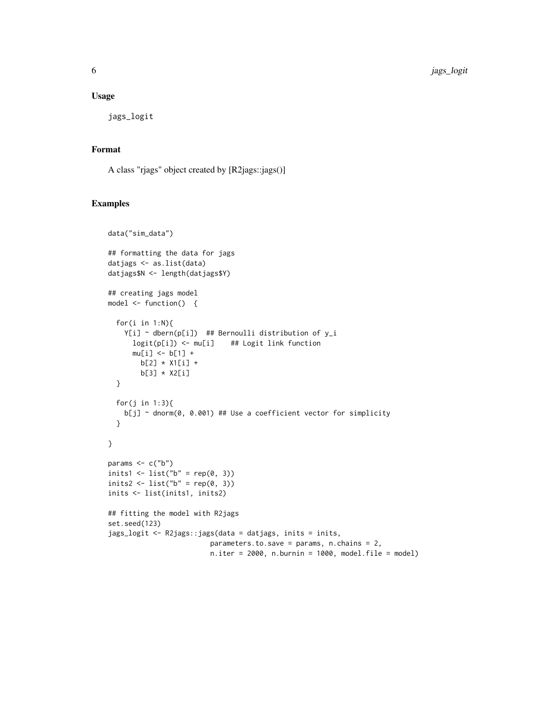#### Usage

jags\_logit

# Format

A class "rjags" object created by [R2jags::jags()]

```
data("sim_data")
## formatting the data for jags
datjags <- as.list(data)
datjags$N <- length(datjags$Y)
## creating jags model
model <- function() {
  for(i in 1:N){
   Y[i] ~ dbern(p[i]) ## Bernoulli distribution of y_i
      logit(p[i]) <- mu[i] ## Logit link function
     mu[i] < -b[1] +b[2] * X1[i] +
       b[3] \times X2[i]}
  for(j in 1:3){
   b[j] ~ dnorm(0, 0.001) ## Use a coefficient vector for simplicity
  }
}
params \leq c("b")
inits1 <- list("b" = rep(0, 3))
inits2 <- list("b" = rep(0, 3))
inits <- list(inits1, inits2)
## fitting the model with R2jags
set.seed(123)
jags_logit <- R2jags::jags(data = datjags, inits = inits,
                        parameters.to.save = params, n.chains = 2,
                        n.iter = 2000, n.burnin = 1000, model.file = model)
```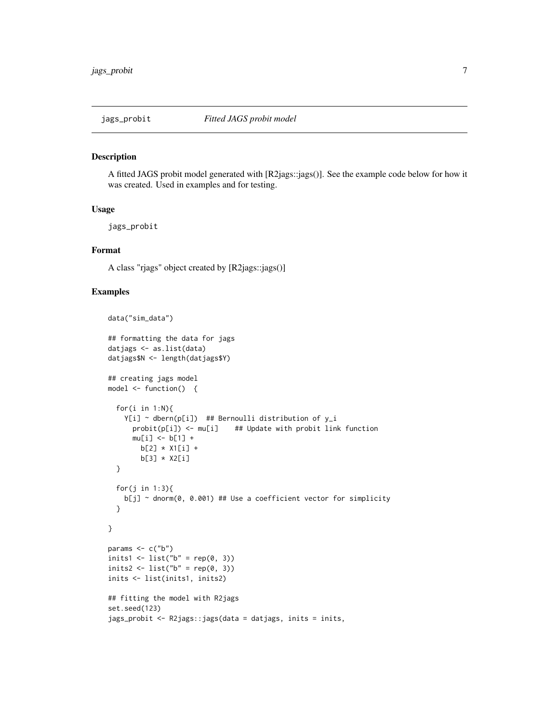<span id="page-6-0"></span>

#### Description

A fitted JAGS probit model generated with [R2jags::jags()]. See the example code below for how it was created. Used in examples and for testing.

#### Usage

jags\_probit

#### Format

A class "rjags" object created by [R2jags::jags()]

```
data("sim_data")
## formatting the data for jags
datjags <- as.list(data)
datjags$N <- length(datjags$Y)
## creating jags model
model <- function() {
  for(i in 1:N){
   Y[i] ~ dbern(p[i]) ## Bernoulli distribution of y_i
      probit(p[i]) \leq mufij ## Update with probit link function
      mu[i] <- b[1] +
        b[2] * X1[i] +
        b[3] * X2[i]
  }
  for(j in 1:3){
   b[j] ~ dnorm(0, 0.001) ## Use a coefficient vector for simplicity
  }
}
params <- c("b")
inits1 \leftarrow list("b" = rep(0, 3))inits2 <- list("b" = rep(0, 3))
inits <- list(inits1, inits2)
## fitting the model with R2jags
set.seed(123)
jags_probit <- R2jags::jags(data = datjags, inits = inits,
```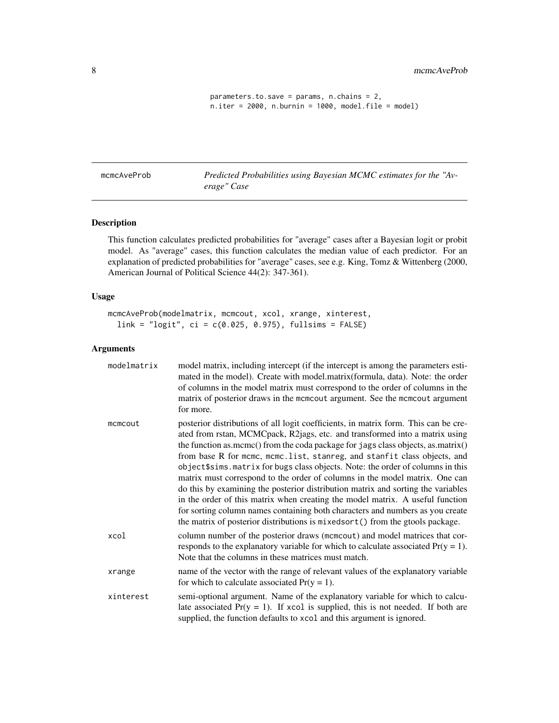<span id="page-7-0"></span>8 mcmcAveProb

```
parameters.to.save = params, n.chains = 2,
n.iter = 2000, n.burnin = 1000, model.file = model)
```
mcmcAveProb *Predicted Probabilities using Bayesian MCMC estimates for the "Average" Case*

# Description

This function calculates predicted probabilities for "average" cases after a Bayesian logit or probit model. As "average" cases, this function calculates the median value of each predictor. For an explanation of predicted probabilities for "average" cases, see e.g. King, Tomz & Wittenberg (2000, American Journal of Political Science 44(2): 347-361).

#### Usage

mcmcAveProb(modelmatrix, mcmcout, xcol, xrange, xinterest, link = "logit", ci = c(0.025, 0.975), fullsims = FALSE)

# Arguments

| modelmatrix | model matrix, including intercept (if the intercept is among the parameters esti-<br>mated in the model). Create with model.matrix(formula, data). Note: the order<br>of columns in the model matrix must correspond to the order of columns in the<br>matrix of posterior draws in the mcmcout argument. See the mcmcout argument<br>for more.                                                                                                                                                                                                                                                                                                                                                                                                                                                                                            |
|-------------|--------------------------------------------------------------------------------------------------------------------------------------------------------------------------------------------------------------------------------------------------------------------------------------------------------------------------------------------------------------------------------------------------------------------------------------------------------------------------------------------------------------------------------------------------------------------------------------------------------------------------------------------------------------------------------------------------------------------------------------------------------------------------------------------------------------------------------------------|
| mcmcout     | posterior distributions of all logit coefficients, in matrix form. This can be cre-<br>ated from rstan, MCMCpack, R2jags, etc. and transformed into a matrix using<br>the function as.mcmc() from the coda package for jags class objects, as.matrix()<br>from base R for mcmc, mcmc.list, stanreg, and stanfit class objects, and<br>object\$sims.matrix for bugs class objects. Note: the order of columns in this<br>matrix must correspond to the order of columns in the model matrix. One can<br>do this by examining the posterior distribution matrix and sorting the variables<br>in the order of this matrix when creating the model matrix. A useful function<br>for sorting column names containing both characters and numbers as you create<br>the matrix of posterior distributions is mixedsort() from the gtools package. |
| xcol        | column number of the posterior draws (mcmcout) and model matrices that cor-<br>responds to the explanatory variable for which to calculate associated $Pr(y = 1)$ .<br>Note that the columns in these matrices must match.                                                                                                                                                                                                                                                                                                                                                                                                                                                                                                                                                                                                                 |
| xrange      | name of the vector with the range of relevant values of the explanatory variable<br>for which to calculate associated $Pr(y = 1)$ .                                                                                                                                                                                                                                                                                                                                                                                                                                                                                                                                                                                                                                                                                                        |
| xinterest   | semi-optional argument. Name of the explanatory variable for which to calcu-<br>late associated $Pr(y = 1)$ . If xcol is supplied, this is not needed. If both are<br>supplied, the function defaults to xcol and this argument is ignored.                                                                                                                                                                                                                                                                                                                                                                                                                                                                                                                                                                                                |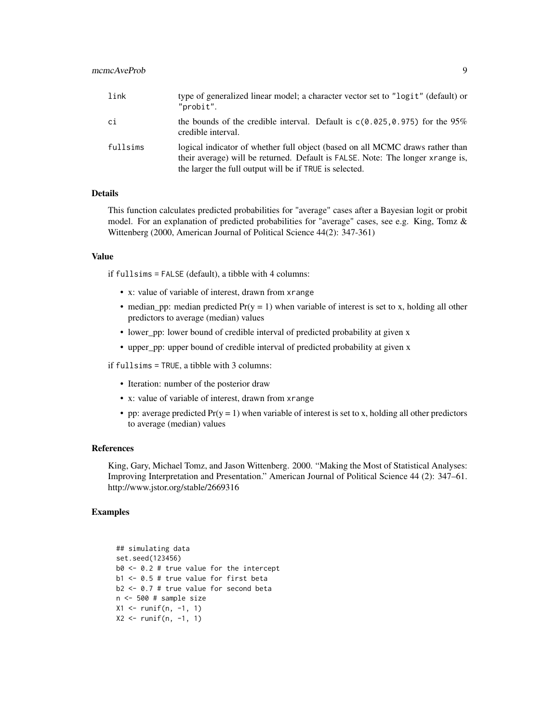# mcmcAveProb 9

| link     | type of generalized linear model; a character vector set to "logit" (default) or<br>"probit".                                                                                                                              |
|----------|----------------------------------------------------------------------------------------------------------------------------------------------------------------------------------------------------------------------------|
| сi       | the bounds of the credible interval. Default is $c(0.025, 0.975)$ for the 95%<br>credible interval.                                                                                                                        |
| fullsims | logical indicator of whether full object (based on all MCMC draws rather than<br>their average) will be returned. Default is FALSE. Note: The longer xrange is,<br>the larger the full output will be if TRUE is selected. |

#### Details

This function calculates predicted probabilities for "average" cases after a Bayesian logit or probit model. For an explanation of predicted probabilities for "average" cases, see e.g. King, Tomz & Wittenberg (2000, American Journal of Political Science 44(2): 347-361)

#### Value

if fullsims = FALSE (default), a tibble with 4 columns:

- x: value of variable of interest, drawn from xrange
- median\_pp: median predicted  $Pr(y = 1)$  when variable of interest is set to x, holding all other predictors to average (median) values
- lower\_pp: lower bound of credible interval of predicted probability at given x
- upper\_pp: upper bound of credible interval of predicted probability at given x

if fullsims = TRUE, a tibble with 3 columns:

- Iteration: number of the posterior draw
- x: value of variable of interest, drawn from xrange
- pp: average predicted  $Pr(y = 1)$  when variable of interest is set to x, holding all other predictors to average (median) values

#### References

King, Gary, Michael Tomz, and Jason Wittenberg. 2000. "Making the Most of Statistical Analyses: Improving Interpretation and Presentation." American Journal of Political Science 44 (2): 347–61. http://www.jstor.org/stable/2669316

```
## simulating data
set.seed(123456)
b0 <- 0.2 # true value for the intercept
b1 <- 0.5 # true value for first beta
b2 <- 0.7 # true value for second beta
n <- 500 # sample size
X1 <- runif(n, -1, 1)
X2 \le runif(n, -1, 1)
```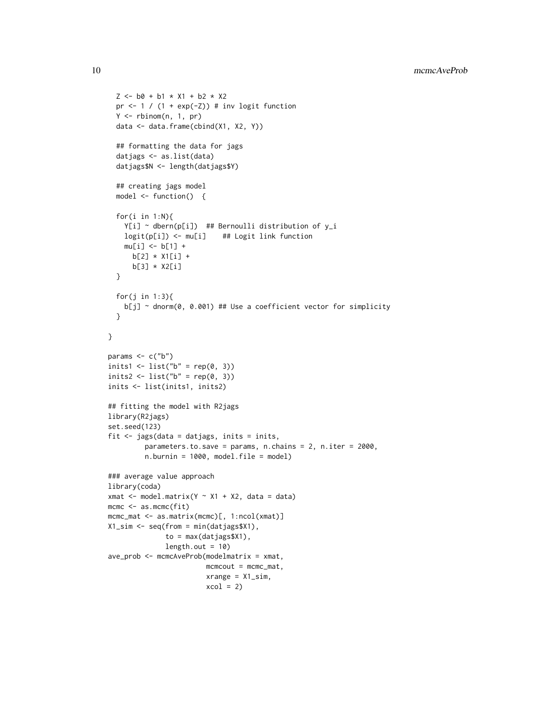```
Z \le - b0 + b1 * X1 + b2 * X2
  pr \leftarrow 1 / (1 + exp(-Z)) # inv logit function
  Y <- rbinom(n, 1, pr)
  data <- data.frame(cbind(X1, X2, Y))
  ## formatting the data for jags
  datjags <- as.list(data)
  datjags$N <- length(datjags$Y)
  ## creating jags model
  model <- function() {
  for(i in 1:N){
   Y[i] \sim dbern(p[i]) ## Bernoulli distribution of y_i
   logit(p[i]) <- mu[i] ## Logit link function
   mu[i] <- b[1] +
     b[2] * X1[i] +
      b[3] * X2[i]
  }
  for(j in 1:3){
   b[j] ~ dnorm(0, 0.001) ## Use a coefficient vector for simplicity
  }
}
params \leq c("b")
inits1 <- list("b" = rep(0, 3))
inits2 <- list("b" = rep(0, 3))
inits <- list(inits1, inits2)
## fitting the model with R2jags
library(R2jags)
set.seed(123)
fit \le jags(data = datjags, inits = inits,
         parameters.to.save = params, n.chains = 2, n.iter = 2000,
         n.burnin = 1000, model.file = model)
### average value approach
library(coda)
xmat \leq model.matrix(Y \sim X1 + X2, data = data)
mcmc <- as.mcmc(fit)
mcmc_mat <- as.matrix(mcmc)[, 1:ncol(xmat)]
X1_sim <- seq(from = min(datjags$X1),
              to = max(datjags$X1),
              length.out = 10ave_prob <- mcmcAveProb(modelmatrix = xmat,
                        mcmcout = mcmc_mat,
                        xrange = x1_sim,
                        xcol = 2
```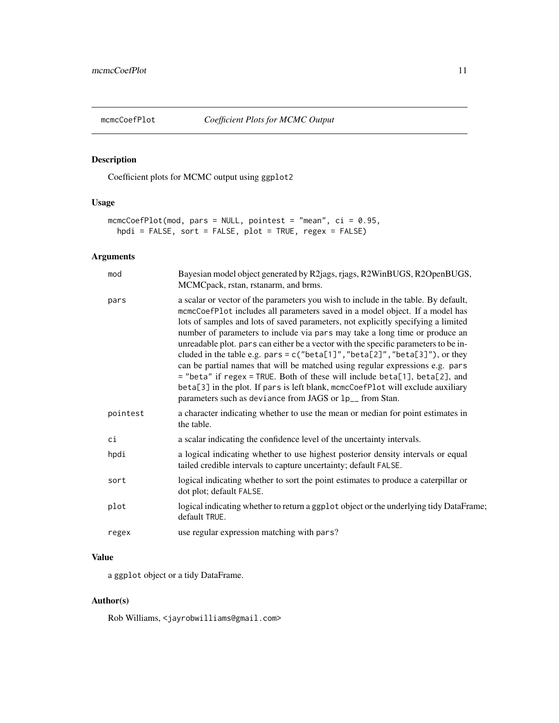<span id="page-10-0"></span>

# Description

Coefficient plots for MCMC output using ggplot2

# Usage

```
mcmcCoefPlot(mod, pars = NULL, pointest = "mean", ci = 0.95,
 hpdi = FALSE, sort = FALSE, plot = TRUE, regex = FALSE)
```
# Arguments

| mod      | Bayesian model object generated by R2jags, rjags, R2WinBUGS, R2OpenBUGS,<br>MCMCpack, rstan, rstanarm, and brms.                                                                                                                                                                                                                                                                                                                                                                                                                                                                                                                                                                                                                                                                                                                        |
|----------|-----------------------------------------------------------------------------------------------------------------------------------------------------------------------------------------------------------------------------------------------------------------------------------------------------------------------------------------------------------------------------------------------------------------------------------------------------------------------------------------------------------------------------------------------------------------------------------------------------------------------------------------------------------------------------------------------------------------------------------------------------------------------------------------------------------------------------------------|
| pars     | a scalar or vector of the parameters you wish to include in the table. By default,<br>mcmcCoefPlot includes all parameters saved in a model object. If a model has<br>lots of samples and lots of saved parameters, not explicitly specifying a limited<br>number of parameters to include via pars may take a long time or produce an<br>unreadable plot. pars can either be a vector with the specific parameters to be in-<br>cluded in the table e.g. pars = $c("beta[1]", "beta[2]", "beta[3]"),$ or they<br>can be partial names that will be matched using regular expressions e.g. pars<br>= "beta" if regex = TRUE. Both of these will include beta[1], beta[2], and<br>beta[3] in the plot. If pars is left blank, mcmcCoefPlot will exclude auxiliary<br>parameters such as deviance from JAGS or 1p <sub>-</sub> from Stan. |
| pointest | a character indicating whether to use the mean or median for point estimates in<br>the table.                                                                                                                                                                                                                                                                                                                                                                                                                                                                                                                                                                                                                                                                                                                                           |
| сi       | a scalar indicating the confidence level of the uncertainty intervals.                                                                                                                                                                                                                                                                                                                                                                                                                                                                                                                                                                                                                                                                                                                                                                  |
| hpdi     | a logical indicating whether to use highest posterior density intervals or equal<br>tailed credible intervals to capture uncertainty; default FALSE.                                                                                                                                                                                                                                                                                                                                                                                                                                                                                                                                                                                                                                                                                    |
| sort     | logical indicating whether to sort the point estimates to produce a caterpillar or<br>dot plot; default FALSE.                                                                                                                                                                                                                                                                                                                                                                                                                                                                                                                                                                                                                                                                                                                          |
| plot     | logical indicating whether to return a ggplot object or the underlying tidy DataFrame;<br>default TRUE.                                                                                                                                                                                                                                                                                                                                                                                                                                                                                                                                                                                                                                                                                                                                 |
| regex    | use regular expression matching with pars?                                                                                                                                                                                                                                                                                                                                                                                                                                                                                                                                                                                                                                                                                                                                                                                              |

# Value

a ggplot object or a tidy DataFrame.

# Author(s)

Rob Williams, <jayrobwilliams@gmail.com>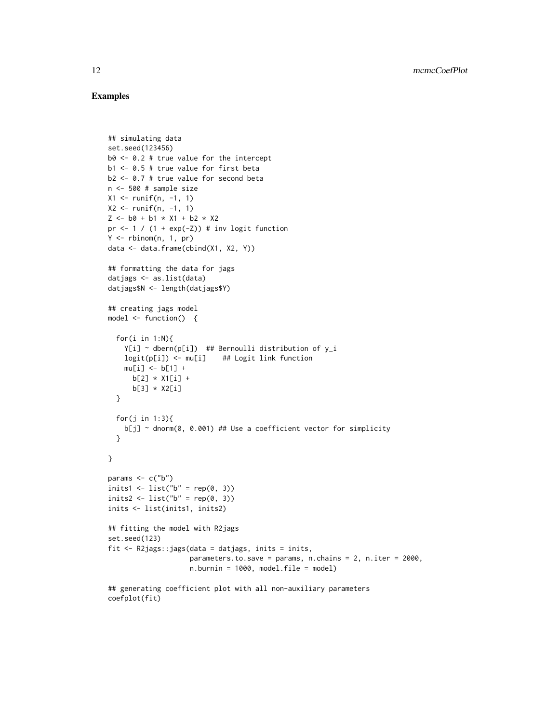```
## simulating data
set.seed(123456)
b0 <- 0.2 # true value for the intercept
b1 <- 0.5 # true value for first beta
b2 <- 0.7 # true value for second beta
n <- 500 # sample size
X1 <- runif(n, -1, 1)
X2 \leq runif(n, -1, 1)Z \le - b0 + b1 \times X1 + b2 \times X2pr \leftarrow 1 / (1 + exp(-Z)) # inv logit function
Y \le - rbinom(n, 1, pr)data <- data.frame(cbind(X1, X2, Y))
## formatting the data for jags
datjags <- as.list(data)
datjags$N <- length(datjags$Y)
## creating jags model
model <- function() {
  for(i in 1:N){
    Y[i] \sim dbern(p[i]) ## Bernoulli distribution of y_i
    logit(p[i]) <- mu[i] ## Logit link function
    mu[i] <- b[1] +
      b[2] * X1[i] +b[3] * X2[i]
  }
  for(j in 1:3){
    b[j] ~ dnorm(0, 0.001) ## Use a coefficient vector for simplicity
  }
}
params \leq c("b")
inits1 <- list("b" = rep(0, 3))
inits2 \leftarrow list("b" = rep(0, 3))
inits <- list(inits1, inits2)
## fitting the model with R2jags
set.seed(123)
fit <- R2jags::jags(data = datjags, inits = inits,
                     parameters.to.save = params, n.chains = 2, n.iter = 2000,
                     n.burnin = 1000, model.file = model)
## generating coefficient plot with all non-auxiliary parameters
coefplot(fit)
```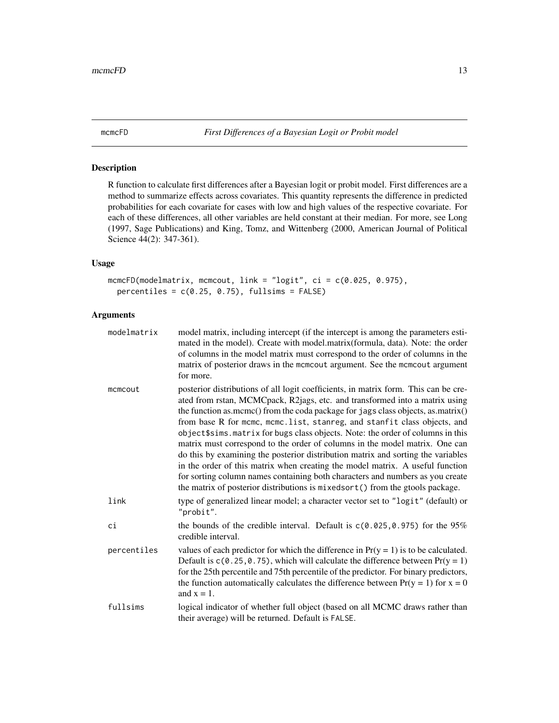<span id="page-12-0"></span>mcmcFD *First Differences of a Bayesian Logit or Probit model*

# Description

R function to calculate first differences after a Bayesian logit or probit model. First differences are a method to summarize effects across covariates. This quantity represents the difference in predicted probabilities for each covariate for cases with low and high values of the respective covariate. For each of these differences, all other variables are held constant at their median. For more, see Long (1997, Sage Publications) and King, Tomz, and Wittenberg (2000, American Journal of Political Science 44(2): 347-361).

#### Usage

```
mcmcFD(modelmatrix, mcmcout, link = "logit", ci = c(0.025, 0.975),
 percentiles = c(0.25, 0.75), fullsims = FALSE)
```
# Arguments

| modelmatrix | model matrix, including intercept (if the intercept is among the parameters esti-<br>mated in the model). Create with model.matrix(formula, data). Note: the order<br>of columns in the model matrix must correspond to the order of columns in the<br>matrix of posterior draws in the mcmcout argument. See the mcmcout argument<br>for more.                                                                                                                                                                                                                                                                                                                                                                                                                                                                                             |
|-------------|---------------------------------------------------------------------------------------------------------------------------------------------------------------------------------------------------------------------------------------------------------------------------------------------------------------------------------------------------------------------------------------------------------------------------------------------------------------------------------------------------------------------------------------------------------------------------------------------------------------------------------------------------------------------------------------------------------------------------------------------------------------------------------------------------------------------------------------------|
| mcmcout     | posterior distributions of all logit coefficients, in matrix form. This can be cre-<br>ated from rstan, MCMCpack, R2jags, etc. and transformed into a matrix using<br>the function as mcmc() from the coda package for jags class objects, as matrix()<br>from base R for mcmc, mcmc.list, stanreg, and stanfit class objects, and<br>object\$sims.matrix for bugs class objects. Note: the order of columns in this<br>matrix must correspond to the order of columns in the model matrix. One can<br>do this by examining the posterior distribution matrix and sorting the variables<br>in the order of this matrix when creating the model matrix. A useful function<br>for sorting column names containing both characters and numbers as you create<br>the matrix of posterior distributions is mixedsort () from the gtools package. |
| link        | type of generalized linear model; a character vector set to "logit" (default) or<br>"probit".                                                                                                                                                                                                                                                                                                                                                                                                                                                                                                                                                                                                                                                                                                                                               |
| сi          | the bounds of the credible interval. Default is $c(0.025, 0.975)$ for the 95%<br>credible interval.                                                                                                                                                                                                                                                                                                                                                                                                                                                                                                                                                                                                                                                                                                                                         |
| percentiles | values of each predictor for which the difference in $Pr(y = 1)$ is to be calculated.<br>Default is $c(0.25, 0.75)$ , which will calculate the difference between $Pr(y = 1)$<br>for the 25th percentile and 75th percentile of the predictor. For binary predictors,<br>the function automatically calculates the difference between $Pr(y = 1)$ for $x = 0$<br>and $x = 1$ .                                                                                                                                                                                                                                                                                                                                                                                                                                                              |
| fullsims    | logical indicator of whether full object (based on all MCMC draws rather than<br>their average) will be returned. Default is FALSE.                                                                                                                                                                                                                                                                                                                                                                                                                                                                                                                                                                                                                                                                                                         |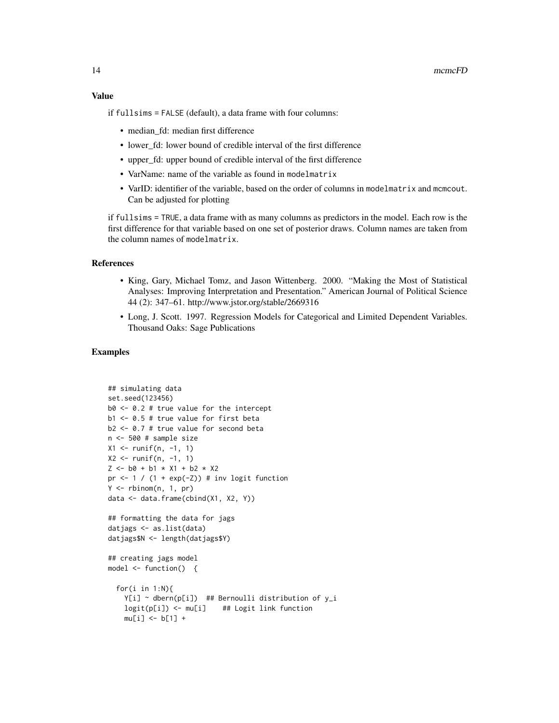if fullsims = FALSE (default), a data frame with four columns:

- median\_fd: median first difference
- lower\_fd: lower bound of credible interval of the first difference
- upper\_fd: upper bound of credible interval of the first difference
- VarName: name of the variable as found in modelmatrix
- VarID: identifier of the variable, based on the order of columns in modelmatrix and mcmcout. Can be adjusted for plotting

if fullsims = TRUE, a data frame with as many columns as predictors in the model. Each row is the first difference for that variable based on one set of posterior draws. Column names are taken from the column names of modelmatrix.

#### References

- King, Gary, Michael Tomz, and Jason Wittenberg. 2000. "Making the Most of Statistical Analyses: Improving Interpretation and Presentation." American Journal of Political Science 44 (2): 347–61. http://www.jstor.org/stable/2669316
- Long, J. Scott. 1997. Regression Models for Categorical and Limited Dependent Variables. Thousand Oaks: Sage Publications

```
## simulating data
set.seed(123456)
b0 <- 0.2 # true value for the intercept
b1 <- 0.5 # true value for first beta
b2 <- 0.7 # true value for second beta
n <- 500 # sample size
X1 <- runif(n, -1, 1)
X2 \le runif(n, -1, 1)
Z \le - b0 + b1 \times X1 + b2 \times X2pr <-1 / (1 + \exp(-Z)) # inv logit function
Y \le - rbinom(n, 1, pr)data <- data.frame(cbind(X1, X2, Y))
## formatting the data for jags
datjags <- as.list(data)
datjags$N <- length(datjags$Y)
## creating jags model
model <- function() {
  for(i in 1:N){
    Y[i] ~ dbern(p[i]) ## Bernoulli distribution of y_i
    logit(p[i]) <- mu[i] ## Logit link function
    mu[i] <- b[1] +
```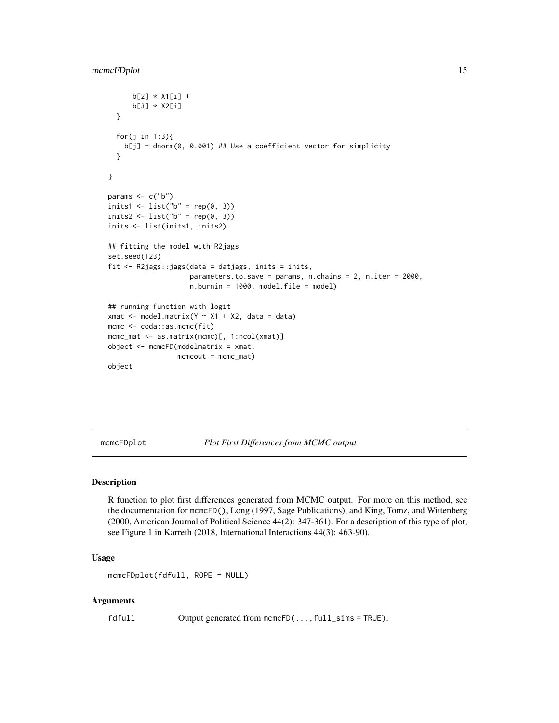```
b[2] * X1[i] +
      b[3] * X2[i]
  }
  for(j in 1:3){
   b[j] ~ dnorm(0, 0.001) ## Use a coefficient vector for simplicity
  }
}
params \leq c("b")
inits1 <- list("b" = rep(0, 3))
inits2 <- list("b" = rep(0, 3))
inits <- list(inits1, inits2)
## fitting the model with R2jags
set.seed(123)
fit <- R2jags::jags(data = datjags, inits = inits,
                    parameters.to.save = params, n.chains = 2, n.iter = 2000,
                    n.burnin = 1000, model.file = model)
## running function with logit
xmat \leq model.matrix(Y \sim X1 + X2, data = data)
mcmc <- coda::as.mcmc(fit)
mcmc_mat <- as.matrix(mcmc)[, 1:ncol(xmat)]
object <- mcmcFD(modelmatrix = xmat,
                 mcmcout = mcmc_mat)
object
```
mcmcFDplot *Plot First Differences from MCMC output*

# Description

R function to plot first differences generated from MCMC output. For more on this method, see the documentation for mcmcFD(), Long (1997, Sage Publications), and King, Tomz, and Wittenberg (2000, American Journal of Political Science 44(2): 347-361). For a description of this type of plot, see Figure 1 in Karreth (2018, International Interactions 44(3): 463-90).

#### Usage

```
mcmcFDplot(fdfull, ROPE = NULL)
```
#### Arguments

fdfull Output generated from mcmcFD(...,full\_sims = TRUE).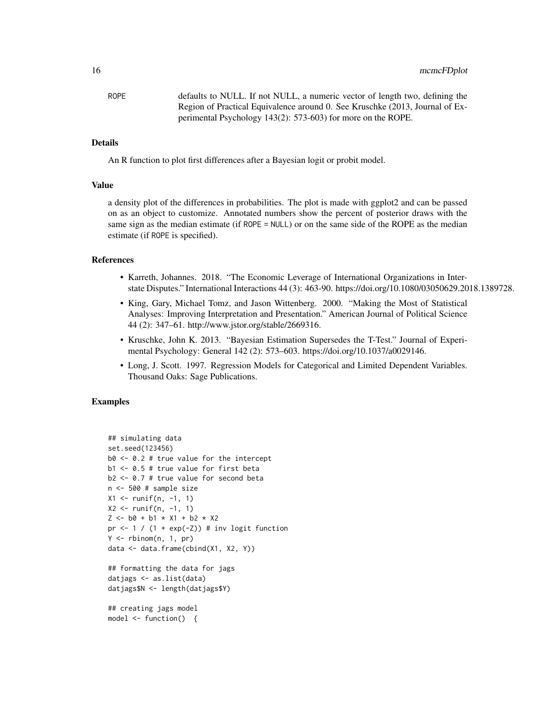ROPE defaults to NULL. If not NULL, a numeric vector of length two, defining the Region of Practical Equivalence around 0. See Kruschke (2013, Journal of Experimental Psychology 143(2): 573-603) for more on the ROPE.

# **Details**

An R function to plot first differences after a Bayesian logit or probit model.

#### Value

a density plot of the differences in probabilities. The plot is made with ggplot2 and can be passed on as an object to customize. Annotated numbers show the percent of posterior draws with the same sign as the median estimate (if ROPE = NULL) or on the same side of the ROPE as the median estimate (if ROPE is specified).

#### References

- Karreth, Johannes. 2018. "The Economic Leverage of International Organizations in Interstate Disputes." International Interactions 44 (3): 463-90. https://doi.org/10.1080/03050629.2018.1389728.
- King, Gary, Michael Tomz, and Jason Wittenberg. 2000. "Making the Most of Statistical Analyses: Improving Interpretation and Presentation." American Journal of Political Science 44 (2): 347–61. http://www.jstor.org/stable/2669316.
- Kruschke, John K. 2013. "Bayesian Estimation Supersedes the T-Test." Journal of Experimental Psychology: General 142 (2): 573–603. https://doi.org/10.1037/a0029146.
- Long, J. Scott. 1997. Regression Models for Categorical and Limited Dependent Variables. Thousand Oaks: Sage Publications.

#### Examples

```
## simulating data
set.seed(123456)
b0 < -0.2 # true value for the intercept
b1 <- 0.5 # true value for first beta
b2 <- 0.7 # true value for second beta
n <- 500 # sample size
X1 <- runif(n, -1, 1)
X2 \le runif(n, -1, 1)
Z \le - b0 + b1 \times X1 + b2 \times X2pr \leftarrow 1 / (1 + exp(-Z)) # inv logit function
Y \leq - rbinom(n, 1, pr)data <- data.frame(cbind(X1, X2, Y))
## formatting the data for jags
datjags <- as.list(data)
datjags$N <- length(datjags$Y)
```
## creating jags model model <- function() {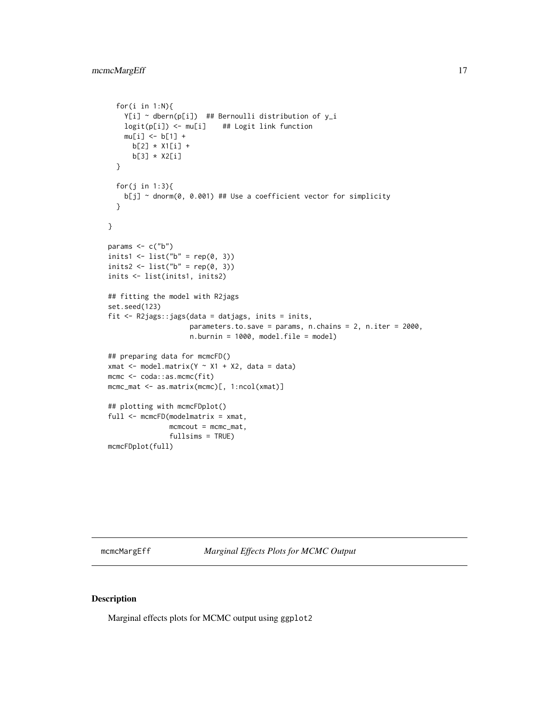```
for(i in 1:N){
   Y[i] ~ dbern(p[i]) ## Bernoulli distribution of y_i
   logit(p[i]) <- mu[i] ## Logit link function
   mu[i] <- b[1] +
     b[2] * X1[i] +
     b[3] * X2[i]
  }
  for(j in 1:3){
   b[j] ~ dnorm(0, 0.001) ## Use a coefficient vector for simplicity
  }
}
params \leq -c("b")inits1 <- list("b" = rep(0, 3))
inits2 <- list("b" = rep(0, 3))
inits <- list(inits1, inits2)
## fitting the model with R2jags
set.seed(123)
fit <- R2jags::jags(data = datjags, inits = inits,
                    parameters.to.save = params, n.chains = 2, n.iter = 2000,
                    n.burnin = 1000, model.file = model)
## preparing data for mcmcFD()
xmat \leq model.matrix(Y \sim X1 + X2, data = data)
mcmc <- coda::as.mcmc(fit)
mcmc_mat <- as.matrix(mcmc)[, 1:ncol(xmat)]
## plotting with mcmcFDplot()
full <- mcmcFD(modelmatrix = xmat,
               mcmcout = mcmc_mat,
               fullsims = TRUE)
mcmcFDplot(full)
```
mcmcMargEff *Marginal Effects Plots for MCMC Output*

# Description

Marginal effects plots for MCMC output using ggplot2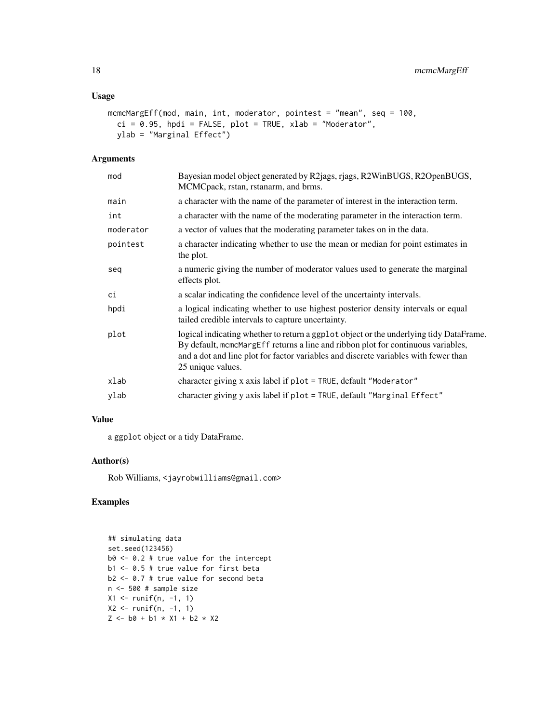# Usage

```
mcmcMargEff(mod, main, int, moderator, pointest = "mean", seq = 100,
 ci = 0.95, hpdi = FALSE, plot = TRUE, xlab = "Moderator",
 ylab = "Marginal Effect")
```
#### Arguments

| mod       | Bayesian model object generated by R2jags, rjags, R2WinBUGS, R2OpenBUGS,<br>MCMCpack, rstan, rstanarm, and brms.                                                                                                                                                                       |
|-----------|----------------------------------------------------------------------------------------------------------------------------------------------------------------------------------------------------------------------------------------------------------------------------------------|
| main      | a character with the name of the parameter of interest in the interaction term.                                                                                                                                                                                                        |
| int       | a character with the name of the moderating parameter in the interaction term.                                                                                                                                                                                                         |
| moderator | a vector of values that the moderating parameter takes on in the data.                                                                                                                                                                                                                 |
| pointest  | a character indicating whether to use the mean or median for point estimates in<br>the plot.                                                                                                                                                                                           |
| seq       | a numeric giving the number of moderator values used to generate the marginal<br>effects plot.                                                                                                                                                                                         |
| сi        | a scalar indicating the confidence level of the uncertainty intervals.                                                                                                                                                                                                                 |
| hpdi      | a logical indicating whether to use highest posterior density intervals or equal<br>tailed credible intervals to capture uncertainty.                                                                                                                                                  |
| plot      | logical indicating whether to return a ggplot object or the underlying tidy DataFrame.<br>By default, mcmcMargEff returns a line and ribbon plot for continuous variables,<br>and a dot and line plot for factor variables and discrete variables with fewer than<br>25 unique values. |
| xlab      | character giving x axis label if plot = TRUE, default "Moderator"                                                                                                                                                                                                                      |
| ylab      | character giving y axis label if plot = TRUE, default "Marginal Effect"                                                                                                                                                                                                                |
|           |                                                                                                                                                                                                                                                                                        |

# Value

a ggplot object or a tidy DataFrame.

#### Author(s)

Rob Williams, <jayrobwilliams@gmail.com>

```
## simulating data
set.seed(123456)
b0 <- 0.2 # true value for the intercept
b1 <- 0.5 # true value for first beta
b2 \le -0.7 # true value for second beta
n <- 500 # sample size
X1 <- runif(n, -1, 1)
X2 <- runif(n, -1, 1)
Z \le - b0 + b1 * X1 + b2 * X2
```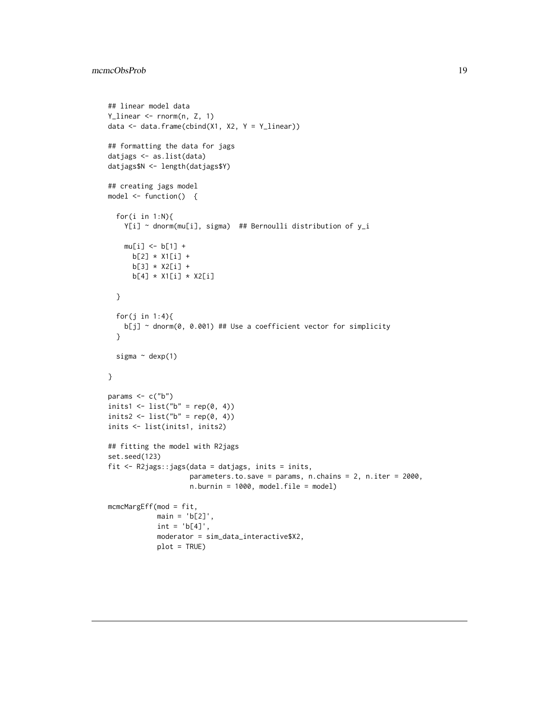```
## linear model data
Y_linear <- rnorm(n, Z, 1)
data \leq data.frame(cbind(X1, X2, Y = Y_linear))
## formatting the data for jags
datjags <- as.list(data)
datjags$N <- length(datjags$Y)
## creating jags model
model <- function() {
  for(i in 1:N){
   Y[i] ~ dnorm(mu[i], sigma) ## Bernoulli distribution of y_i
   mu[i] <- b[1] +
     b[2] * X1[i] +
     b[3] * X2[i] +
     b[4] * X1[i] * X2[i]
  }
  for(j in 1:4){
   b[j] ~ dnorm(0, 0.001) ## Use a coefficient vector for simplicity
  }
  sigma ~\sim dexp(1)
}
params <- c("b")
inits1 <- list("b" = rep(0, 4))
inits2 <- list("b" = rep(0, 4))
inits <- list(inits1, inits2)
## fitting the model with R2jags
set.seed(123)
fit <- R2jags::jags(data = datjags, inits = inits,
                    parameters.to.save = params, n.chains = 2, n.iter = 2000,
                    n.burnin = 1000, model.file = model)
mcmcMargEff(mod = fit,
            main = 'b[2]',
            int = 'b[4]',
            moderator = sim_data_interactive$X2,
            plot = TRUE)
```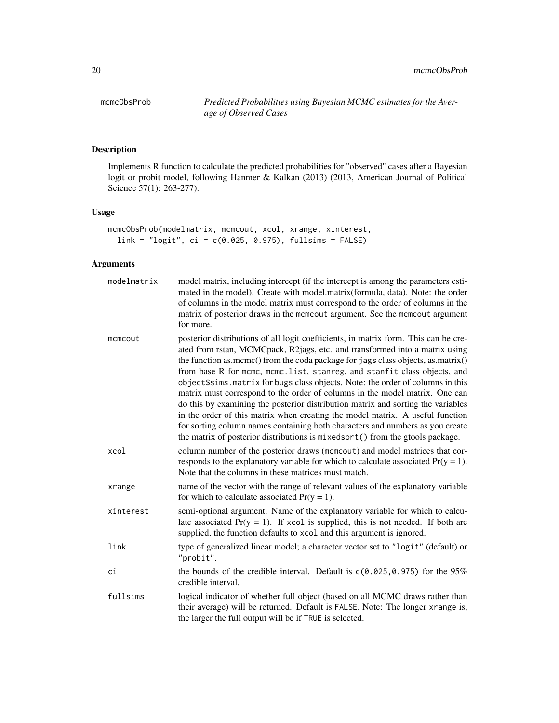mcmcObsProb *Predicted Probabilities using Bayesian MCMC estimates for the Average of Observed Cases*

# Description

Implements R function to calculate the predicted probabilities for "observed" cases after a Bayesian logit or probit model, following Hanmer & Kalkan (2013) (2013, American Journal of Political Science 57(1): 263-277).

# Usage

```
mcmcObsProb(modelmatrix, mcmcout, xcol, xrange, xinterest,
  link = "logit", ci = c(0.025, 0.975), fullsims = FALSE)
```
# Arguments

| modelmatrix | model matrix, including intercept (if the intercept is among the parameters esti-<br>mated in the model). Create with model.matrix(formula, data). Note: the order<br>of columns in the model matrix must correspond to the order of columns in the<br>matrix of posterior draws in the mcmcout argument. See the mcmcout argument<br>for more.                                                                                                                                                                                                                                                                                                                                                                                                                                                                                            |
|-------------|--------------------------------------------------------------------------------------------------------------------------------------------------------------------------------------------------------------------------------------------------------------------------------------------------------------------------------------------------------------------------------------------------------------------------------------------------------------------------------------------------------------------------------------------------------------------------------------------------------------------------------------------------------------------------------------------------------------------------------------------------------------------------------------------------------------------------------------------|
| mcmcout     | posterior distributions of all logit coefficients, in matrix form. This can be cre-<br>ated from rstan, MCMCpack, R2jags, etc. and transformed into a matrix using<br>the function as mcmc() from the coda package for jags class objects, as matrix()<br>from base R for mcmc, mcmc.list, stanreg, and stanfit class objects, and<br>object\$sims.matrix for bugs class objects. Note: the order of columns in this<br>matrix must correspond to the order of columns in the model matrix. One can<br>do this by examining the posterior distribution matrix and sorting the variables<br>in the order of this matrix when creating the model matrix. A useful function<br>for sorting column names containing both characters and numbers as you create<br>the matrix of posterior distributions is mixedsort() from the gtools package. |
| xcol        | column number of the posterior draws (mcmcout) and model matrices that cor-<br>responds to the explanatory variable for which to calculate associated $Pr(y = 1)$ .<br>Note that the columns in these matrices must match.                                                                                                                                                                                                                                                                                                                                                                                                                                                                                                                                                                                                                 |
| xrange      | name of the vector with the range of relevant values of the explanatory variable<br>for which to calculate associated $Pr(y = 1)$ .                                                                                                                                                                                                                                                                                                                                                                                                                                                                                                                                                                                                                                                                                                        |
| xinterest   | semi-optional argument. Name of the explanatory variable for which to calcu-<br>late associated $Pr(y = 1)$ . If xcol is supplied, this is not needed. If both are<br>supplied, the function defaults to xcol and this argument is ignored.                                                                                                                                                                                                                                                                                                                                                                                                                                                                                                                                                                                                |
| link        | type of generalized linear model; a character vector set to "logit" (default) or<br>"probit".                                                                                                                                                                                                                                                                                                                                                                                                                                                                                                                                                                                                                                                                                                                                              |
| сi          | the bounds of the credible interval. Default is $c(0.025, 0.975)$ for the 95%<br>credible interval.                                                                                                                                                                                                                                                                                                                                                                                                                                                                                                                                                                                                                                                                                                                                        |
| fullsims    | logical indicator of whether full object (based on all MCMC draws rather than<br>their average) will be returned. Default is FALSE. Note: The longer xrange is,<br>the larger the full output will be if TRUE is selected.                                                                                                                                                                                                                                                                                                                                                                                                                                                                                                                                                                                                                 |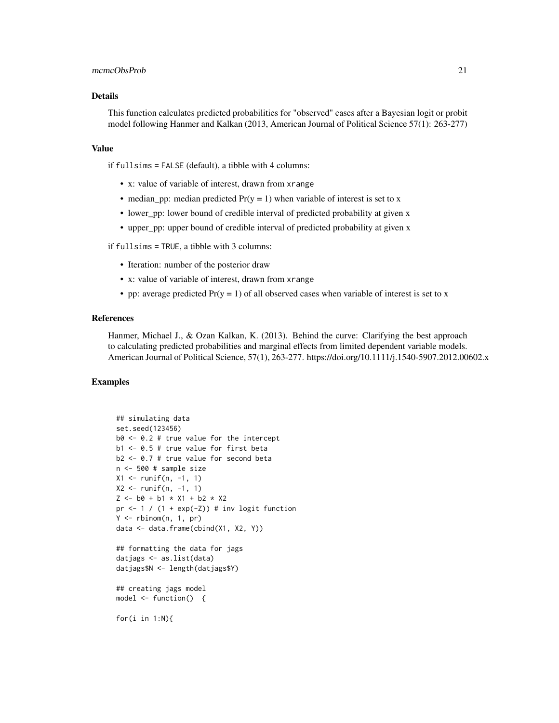#### mcmcObsProb 21

# Details

This function calculates predicted probabilities for "observed" cases after a Bayesian logit or probit model following Hanmer and Kalkan (2013, American Journal of Political Science 57(1): 263-277)

#### Value

if fullsims = FALSE (default), a tibble with 4 columns:

- x: value of variable of interest, drawn from xrange
- median\_pp: median predicted  $Pr(y = 1)$  when variable of interest is set to x
- lower\_pp: lower bound of credible interval of predicted probability at given x
- upper\_pp: upper bound of credible interval of predicted probability at given x

if fullsims = TRUE, a tibble with 3 columns:

- Iteration: number of the posterior draw
- x: value of variable of interest, drawn from xrange
- pp: average predicted  $Pr(y = 1)$  of all observed cases when variable of interest is set to x

#### References

Hanmer, Michael J., & Ozan Kalkan, K. (2013). Behind the curve: Clarifying the best approach to calculating predicted probabilities and marginal effects from limited dependent variable models. American Journal of Political Science, 57(1), 263-277. https://doi.org/10.1111/j.1540-5907.2012.00602.x

#### Examples

```
## simulating data
set.seed(123456)
b0 \le -0.2 # true value for the intercept
b1 <- 0.5 # true value for first beta
b2 <- 0.7 # true value for second beta
n <- 500 # sample size
X1 <- runif(n, -1, 1)
X2 \le runif(n, -1, 1)
Z \le - b0 + b1 \times X1 + b2 \times X2pr \leftarrow 1 / (1 + exp(-Z)) # inv logit function
Y \le - rbinom(n, 1, pr)
data <- data.frame(cbind(X1, X2, Y))
## formatting the data for jags
datjags <- as.list(data)
datjags$N <- length(datjags$Y)
## creating jags model
model <- function() {
```
for(i in 1:N){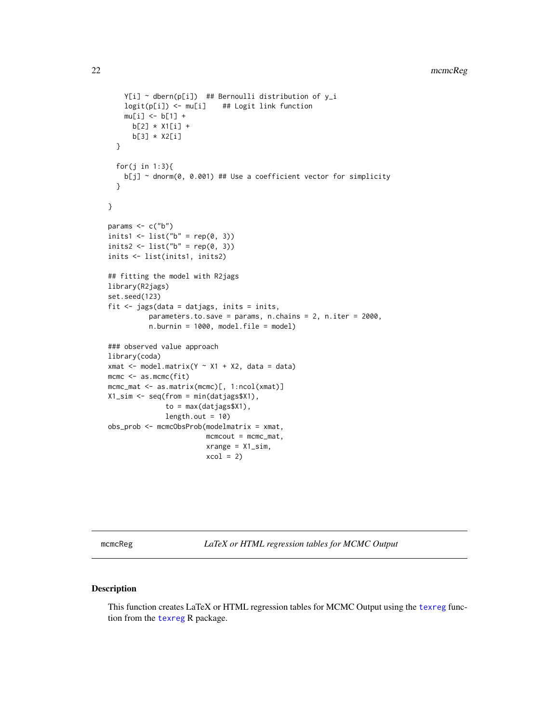```
Y[i] ~ dbern(p[i]) ## Bernoulli distribution of y_i
   logit(p[i]) <- mu[i] ## Logit link function
   mu[i] <- b[1] +
     b[2] * X1[i] +
     b[3] * X2[i]
  }
  for(j in 1:3){
   b[j] ~ dnorm(0, 0.001) ## Use a coefficient vector for simplicity
  }
}
params \leq -c("b")inits1 <- list("b" = rep(0, 3))
inits2 <- list("b" = rep(0, 3))
inits <- list(inits1, inits2)
## fitting the model with R2jags
library(R2jags)
set.seed(123)
fit <- jags(data = datjags, inits = inits,
          parameters.to.save = params, n.chains = 2, n.iter = 2000,
          n.burnin = 1000, model.file = model)
### observed value approach
library(coda)
xmat \leq model.matrix(Y \sim X1 + X2, data = data)
mcmc <- as.mcmc(fit)
mcmc_mat <- as.matrix(mcmc)[, 1:ncol(xmat)]
X1_sim <- seq(from = min(datjags$X1),
              to = max(datjags$X1),
              length.out = 10obs_prob <- mcmcObsProb(modelmatrix = xmat,
                        mcmcout = mcmc_mat,
                        xrange = X1_sim,
                        xcol = 2
```
mcmcReg *LaTeX or HTML regression tables for MCMC Output*

# Description

This function creates LaTeX or HTML regression tables for MCMC Output using the [texreg](#page-0-0) function from the [texreg](#page-0-0) R package.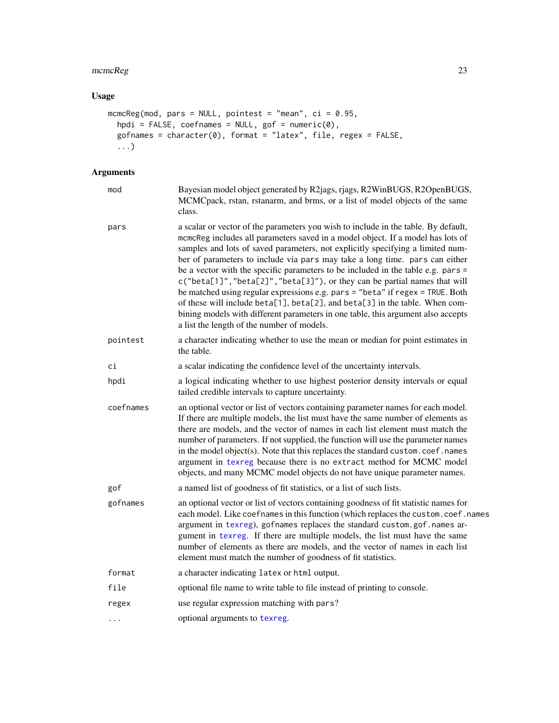# mcmcReg 23

# Usage

```
mcmcReg(mod, pars = NULL, pointest = "mean", ci = 0.95,
 hpdi = FALSE, coefnames = NULL, gof = numeric(0),
 gofnames = character(0), format = "latex", file, regex = FALSE,
  ...)
```
# Arguments

| mod       | Bayesian model object generated by R2jags, rjags, R2WinBUGS, R2OpenBUGS,<br>MCMCpack, rstan, rstanarm, and brms, or a list of model objects of the same<br>class.                                                                                                                                                                                                                                                                                                                                                                                                                                                                                                                                                                                                                                          |
|-----------|------------------------------------------------------------------------------------------------------------------------------------------------------------------------------------------------------------------------------------------------------------------------------------------------------------------------------------------------------------------------------------------------------------------------------------------------------------------------------------------------------------------------------------------------------------------------------------------------------------------------------------------------------------------------------------------------------------------------------------------------------------------------------------------------------------|
| pars      | a scalar or vector of the parameters you wish to include in the table. By default,<br>mcmcReg includes all parameters saved in a model object. If a model has lots of<br>samples and lots of saved parameters, not explicitly specifying a limited num-<br>ber of parameters to include via pars may take a long time. pars can either<br>be a vector with the specific parameters to be included in the table e.g. pars =<br>c("beta[1]", "beta[2]", "beta[3]"), or they can be partial names that will<br>be matched using regular expressions e.g. pars = "beta" if regex = TRUE. Both<br>of these will include beta[1], beta[2], and beta[3] in the table. When com-<br>bining models with different parameters in one table, this argument also accepts<br>a list the length of the number of models. |
| pointest  | a character indicating whether to use the mean or median for point estimates in<br>the table.                                                                                                                                                                                                                                                                                                                                                                                                                                                                                                                                                                                                                                                                                                              |
| сi        | a scalar indicating the confidence level of the uncertainty intervals.                                                                                                                                                                                                                                                                                                                                                                                                                                                                                                                                                                                                                                                                                                                                     |
| hpdi      | a logical indicating whether to use highest posterior density intervals or equal<br>tailed credible intervals to capture uncertainty.                                                                                                                                                                                                                                                                                                                                                                                                                                                                                                                                                                                                                                                                      |
| coefnames | an optional vector or list of vectors containing parameter names for each model.<br>If there are multiple models, the list must have the same number of elements as<br>there are models, and the vector of names in each list element must match the<br>number of parameters. If not supplied, the function will use the parameter names<br>in the model object(s). Note that this replaces the standard custom.coef.names<br>argument in texreg because there is no extract method for MCMC model<br>objects, and many MCMC model objects do not have unique parameter names.                                                                                                                                                                                                                             |
| gof       | a named list of goodness of fit statistics, or a list of such lists.                                                                                                                                                                                                                                                                                                                                                                                                                                                                                                                                                                                                                                                                                                                                       |
| gofnames  | an optional vector or list of vectors containing goodness of fit statistic names for<br>each model. Like coefnames in this function (which replaces the custom.coef.names<br>argument in texreg), gofnames replaces the standard custom.gof.names ar-<br>gument in texreg. If there are multiple models, the list must have the same<br>number of elements as there are models, and the vector of names in each list<br>element must match the number of goodness of fit statistics.                                                                                                                                                                                                                                                                                                                       |
| format    | a character indicating latex or html output.                                                                                                                                                                                                                                                                                                                                                                                                                                                                                                                                                                                                                                                                                                                                                               |
| file      | optional file name to write table to file instead of printing to console.                                                                                                                                                                                                                                                                                                                                                                                                                                                                                                                                                                                                                                                                                                                                  |
| regex     | use regular expression matching with pars?                                                                                                                                                                                                                                                                                                                                                                                                                                                                                                                                                                                                                                                                                                                                                                 |
| .         | optional arguments to texreg.                                                                                                                                                                                                                                                                                                                                                                                                                                                                                                                                                                                                                                                                                                                                                                              |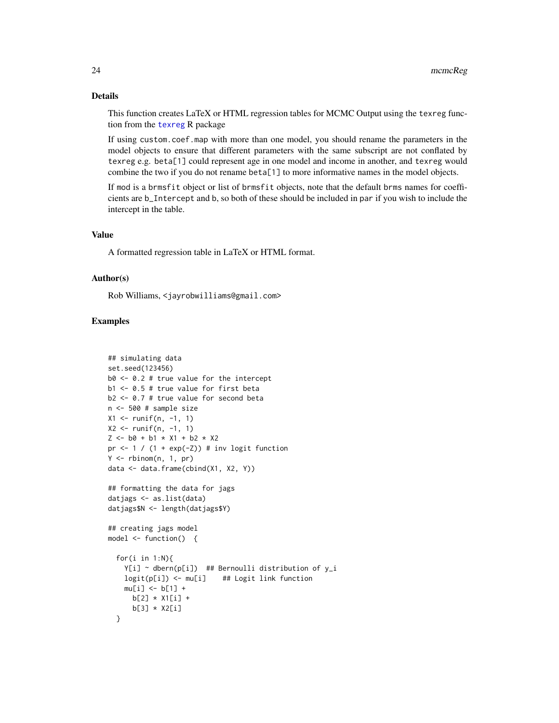# <span id="page-23-0"></span>Details

This function creates LaTeX or HTML regression tables for MCMC Output using the texreg function from the [texreg](#page-0-0) R package

If using custom.coef.map with more than one model, you should rename the parameters in the model objects to ensure that different parameters with the same subscript are not conflated by texreg e.g. beta[1] could represent age in one model and income in another, and texreg would combine the two if you do not rename beta[1] to more informative names in the model objects.

If mod is a brmsfit object or list of brmsfit objects, note that the default brms names for coefficients are b\_Intercept and b, so both of these should be included in par if you wish to include the intercept in the table.

#### Value

A formatted regression table in LaTeX or HTML format.

# Author(s)

Rob Williams, <jayrobwilliams@gmail.com>

```
## simulating data
set.seed(123456)
b0 \le -0.2 # true value for the intercept
b1 <- 0.5 # true value for first beta
b2 <- 0.7 # true value for second beta
n <- 500 # sample size
X1 <- runif(n, -1, 1)
X2 \le runif(n, -1, 1)
Z \le - b0 + b1 * X1 + b2 * X2
pr \leftarrow 1 / (1 + exp(-Z)) # inv logit function
Y \le - rbinom(n, 1, pr)data <- data.frame(cbind(X1, X2, Y))
## formatting the data for jags
datjags <- as.list(data)
datjags$N <- length(datjags$Y)
## creating jags model
model <- function() {
  for(i in 1:N){
    Y[i] ~ dbern(p[i]) ## Bernoulli distribution of y_i
    logit(p[i]) <- mu[i] ## Logit link function
    mu[i] <- b[1] +
     b[2] * X1[i] +
      b[3] * X2[i]
  }
```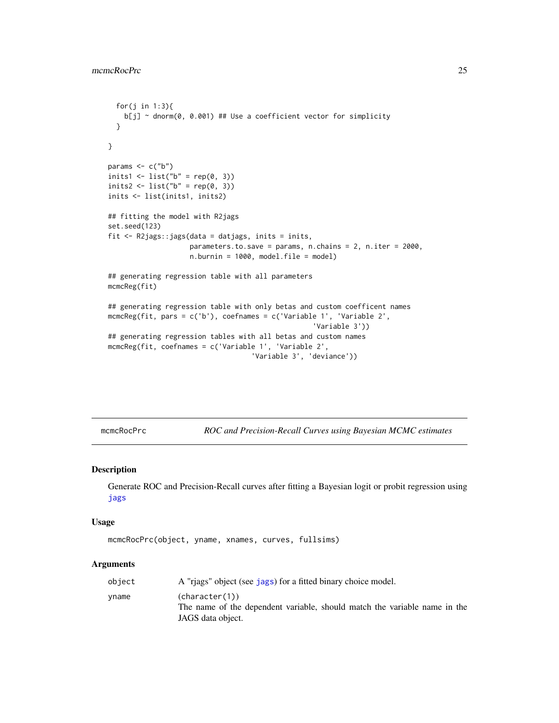```
for(j in 1:3){
   b[j] ~ dnorm(0, 0.001) ## Use a coefficient vector for simplicity
  }
}
params \leq -c("b")inits1 <- list("b" = rep(0, 3))
inits2 <- list("b" = rep(0, 3))
inits <- list(inits1, inits2)
## fitting the model with R2jags
set.seed(123)
fit <- R2jags::jags(data = datjags, inits = inits,
                    parameters.to.save = params, n.chains = 2, n.iter = 2000,
                    n.burnin = 1000, model.file = model)
## generating regression table with all parameters
mcmcReg(fit)
## generating regression table with only betas and custom coefficent names
mcmcReg(fit, pars = c('b'), coefnames = c('Variable 1', 'Variable 2',
                                                   'Variable 3'))
## generating regression tables with all betas and custom names
mcmcReg(fit, coefnames = c('Variable 1', 'Variable 2',
                                   'Variable 3', 'deviance'))
```
<span id="page-24-1"></span>mcmcRocPrc *ROC and Precision-Recall Curves using Bayesian MCMC estimates*

#### Description

Generate ROC and Precision-Recall curves after fitting a Bayesian logit or probit regression using [jags](#page-0-0)

#### Usage

```
mcmcRocPrc(object, yname, xnames, curves, fullsims)
```
#### Arguments

| object | A "riags" object (see jags) for a fitted binary choice model.                                                    |
|--------|------------------------------------------------------------------------------------------------------------------|
| vname  | (character(1))<br>The name of the dependent variable, should match the variable name in the<br>JAGS data object. |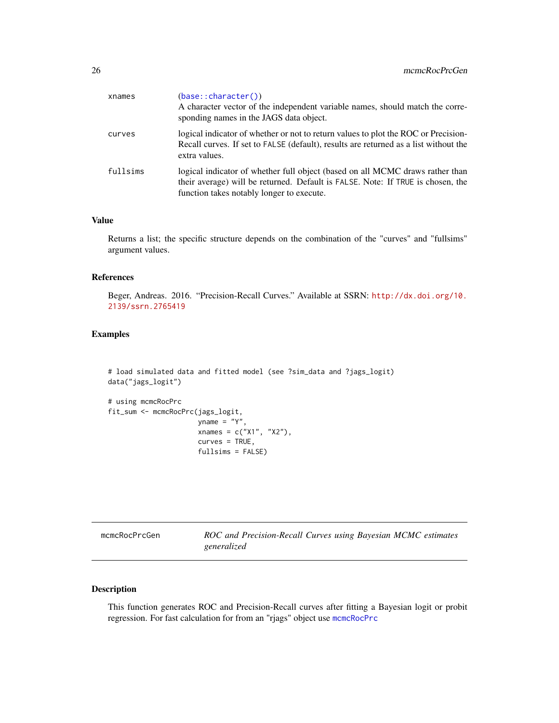<span id="page-25-0"></span>

| xnames   | (base:: character())<br>A character vector of the independent variable names, should match the corre-<br>sponding names in the JAGS data object.                                                              |
|----------|---------------------------------------------------------------------------------------------------------------------------------------------------------------------------------------------------------------|
| curves   | logical indicator of whether or not to return values to plot the ROC or Precision-<br>Recall curves. If set to FALSE (default), results are returned as a list without the<br>extra values.                   |
| fullsims | logical indicator of whether full object (based on all MCMC draws rather than<br>their average) will be returned. Default is FALSE. Note: If TRUE is chosen, the<br>function takes notably longer to execute. |

# Value

Returns a list; the specific structure depends on the combination of the "curves" and "fullsims" argument values.

# References

Beger, Andreas. 2016. "Precision-Recall Curves." Available at SSRN: [http://dx.doi.org/10.](http://dx.doi.org/10.2139/ssrn.2765419) [2139/ssrn.2765419](http://dx.doi.org/10.2139/ssrn.2765419)

# Examples

```
# load simulated data and fitted model (see ?sim_data and ?jags_logit)
data("jags_logit")
```

```
# using mcmcRocPrc
fit_sum <- mcmcRocPrc(jags_logit,
                     yname = "Y",xnames = c("X1", "X2"),
                     curves = TRUE,
                     fullsims = FALSE)
```

| mcmcRocPrcGen | ROC and Precision-Recall Curves using Bayesian MCMC estimates |
|---------------|---------------------------------------------------------------|
|               | generalized                                                   |

# Description

This function generates ROC and Precision-Recall curves after fitting a Bayesian logit or probit regression. For fast calculation for from an "rjags" object use [mcmcRocPrc](#page-24-1)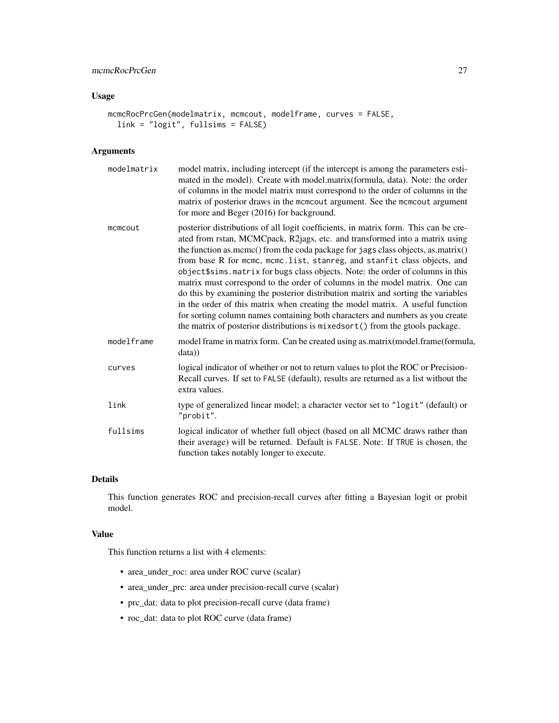# mcmcRocPrcGen 27

# Usage

```
mcmcRocPrcGen(modelmatrix, mcmcout, modelframe, curves = FALSE,
  link = "logit", fullsims = FALSE)
```
# Arguments

| model matrix, including intercept (if the intercept is among the parameters esti-<br>mated in the model). Create with model.matrix(formula, data). Note: the order<br>of columns in the model matrix must correspond to the order of columns in the<br>matrix of posterior draws in the mcmcout argument. See the mcmcout argument                                                                                                                                                                                                                                                                                                                                                                                                                                                                                                          |
|---------------------------------------------------------------------------------------------------------------------------------------------------------------------------------------------------------------------------------------------------------------------------------------------------------------------------------------------------------------------------------------------------------------------------------------------------------------------------------------------------------------------------------------------------------------------------------------------------------------------------------------------------------------------------------------------------------------------------------------------------------------------------------------------------------------------------------------------|
| posterior distributions of all logit coefficients, in matrix form. This can be cre-<br>ated from rstan, MCMCpack, R2jags, etc. and transformed into a matrix using<br>the function as.mcmc() from the coda package for jags class objects, as.matrix()<br>from base R for mcmc, mcmc.list, stanreg, and stanfit class objects, and<br>object\$sims.matrix for bugs class objects. Note: the order of columns in this<br>matrix must correspond to the order of columns in the model matrix. One can<br>do this by examining the posterior distribution matrix and sorting the variables<br>in the order of this matrix when creating the model matrix. A useful function<br>for sorting column names containing both characters and numbers as you create<br>the matrix of posterior distributions is mixedsort () from the gtools package. |
| model frame in matrix form. Can be created using as.matrix(model.frame(formula,                                                                                                                                                                                                                                                                                                                                                                                                                                                                                                                                                                                                                                                                                                                                                             |
| logical indicator of whether or not to return values to plot the ROC or Precision-<br>Recall curves. If set to FALSE (default), results are returned as a list without the                                                                                                                                                                                                                                                                                                                                                                                                                                                                                                                                                                                                                                                                  |
| type of generalized linear model; a character vector set to "logit" (default) or                                                                                                                                                                                                                                                                                                                                                                                                                                                                                                                                                                                                                                                                                                                                                            |
| logical indicator of whether full object (based on all MCMC draws rather than<br>their average) will be returned. Default is FALSE. Note: If TRUE is chosen, the                                                                                                                                                                                                                                                                                                                                                                                                                                                                                                                                                                                                                                                                            |
|                                                                                                                                                                                                                                                                                                                                                                                                                                                                                                                                                                                                                                                                                                                                                                                                                                             |

#### Details

This function generates ROC and precision-recall curves after fitting a Bayesian logit or probit model.

#### Value

This function returns a list with 4 elements:

- area\_under\_roc: area under ROC curve (scalar)
- area\_under\_prc: area under precision-recall curve (scalar)
- prc\_dat: data to plot precision-recall curve (data frame)
- roc\_dat: data to plot ROC curve (data frame)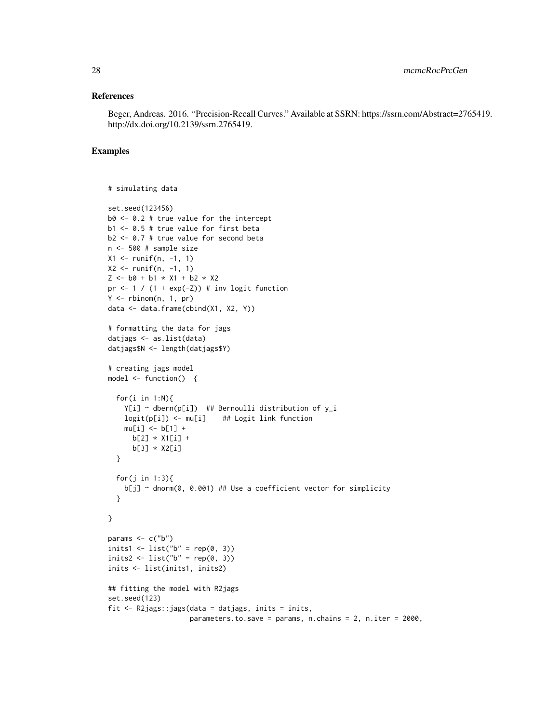#### References

Beger, Andreas. 2016. "Precision-Recall Curves." Available at SSRN: https://ssrn.com/Abstract=2765419. http://dx.doi.org/10.2139/ssrn.2765419.

```
# simulating data
```

```
set.seed(123456)
b0 <- 0.2 # true value for the intercept
b1 <- 0.5 # true value for first beta
b2 <- 0.7 # true value for second beta
n <- 500 # sample size
X1 <- runif(n, -1, 1)
X2 \le runif(n, -1, 1)
Z \le - b0 + b1 \times X1 + b2 \times X2pr \leftarrow 1 / (1 + exp(-Z)) # inv logit function
Y \le - rbinom(n, 1, pr)data <- data.frame(cbind(X1, X2, Y))
# formatting the data for jags
datjags <- as.list(data)
datjags$N <- length(datjags$Y)
# creating jags model
model \leq function() {
  for(i in 1:N){
    Y[i] ~ dbern(p[i]) ## Bernoulli distribution of y_i
    logit(p[i]) <- mu[i] ## Logit link function
    mu[i] <- b[1] +
      b[2] * X1[i] +b[3] * X2[i]
  }
  for(j in 1:3){
    b[j] ~ dnorm(0, 0.001) ## Use a coefficient vector for simplicity
  }
}
params \leq c("b")
inits1 <- list("b" = rep(0, 3))
inits2 <- list("b" = rep(0, 3))
inits <- list(inits1, inits2)
## fitting the model with R2jags
set.seed(123)
fit <- R2jags::jags(data = datjags, inits = inits,
                    parameters.to.save = params, n.chains = 2, n.iter = 2000,
```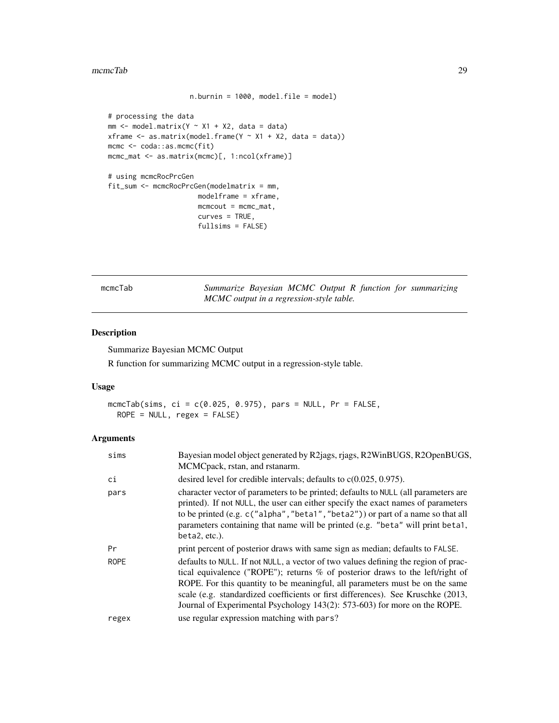#### <span id="page-28-0"></span>mcmcTab 29

```
n.burnin = 1000, model.file = model)
# processing the data
mm \le model.matrix(Y \sim X1 + X2, data = data)
xframe \leq as.matrix(model.frame(Y \sim X1 + X2, data = data))
mcmc <- coda::as.mcmc(fit)
mcmc_mat <- as.matrix(mcmc)[, 1:ncol(xframe)]
# using mcmcRocPrcGen
fit_sum <- mcmcRocPrcGen(modelmatrix = mm,
                      modelframe = xframe,
                      mcmcout = mcmc_mat,
                      curves = TRUE,
                      fullsims = FALSE)
```
mcmcTab *Summarize Bayesian MCMC Output R function for summarizing MCMC output in a regression-style table.*

# Description

Summarize Bayesian MCMC Output R function for summarizing MCMC output in a regression-style table.

# Usage

```
mcmcTab(sims, ci = c(0.025, 0.975), pars = NULL, Pr = FALSE,
 ROPE = NULL, regex = FALSE)
```
#### Arguments

| sims  | Bayesian model object generated by R2jags, rjags, R2WinBUGS, R2OpenBUGS,<br>MCMCpack, rstan, and rstanarm.                                                                                                                                                                                                                                                                                                           |
|-------|----------------------------------------------------------------------------------------------------------------------------------------------------------------------------------------------------------------------------------------------------------------------------------------------------------------------------------------------------------------------------------------------------------------------|
| сi    | desired level for credible intervals; defaults to $c(0.025, 0.975)$ .                                                                                                                                                                                                                                                                                                                                                |
| pars  | character vector of parameters to be printed; defaults to NULL (all parameters are<br>printed). If not NULL, the user can either specify the exact names of parameters<br>to be printed (e.g. c("alpha", "beta1", "beta2")) or part of a name so that all<br>parameters containing that name will be printed (e.g. "beta" will print beta1,<br>beta2, etc.).                                                         |
| Pr    | print percent of posterior draws with same sign as median; defaults to FALSE.                                                                                                                                                                                                                                                                                                                                        |
| ROPE  | defaults to NULL. If not NULL, a vector of two values defining the region of prac-<br>tical equivalence ("ROPE"); returns % of posterior draws to the left/right of<br>ROPE. For this quantity to be meaningful, all parameters must be on the same<br>scale (e.g. standardized coefficients or first differences). See Kruschke (2013,<br>Journal of Experimental Psychology 143(2): 573-603) for more on the ROPE. |
| regex | use regular expression matching with pars?                                                                                                                                                                                                                                                                                                                                                                           |
|       |                                                                                                                                                                                                                                                                                                                                                                                                                      |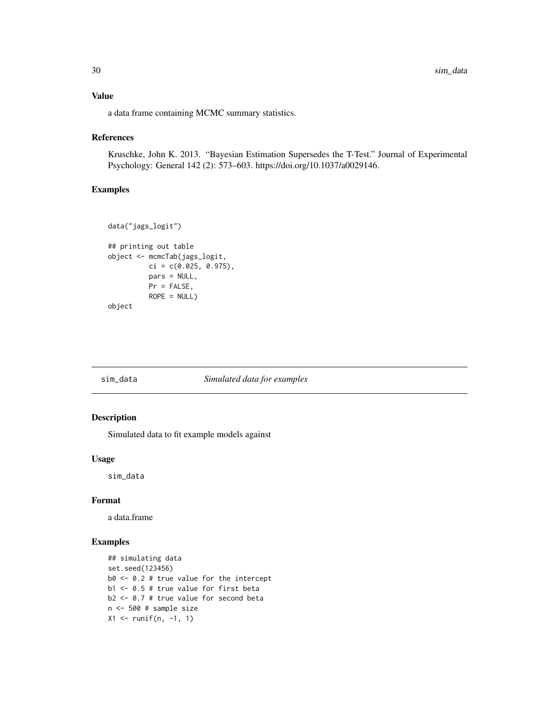# <span id="page-29-0"></span>Value

a data frame containing MCMC summary statistics.

#### References

Kruschke, John K. 2013. "Bayesian Estimation Supersedes the T-Test." Journal of Experimental Psychology: General 142 (2): 573–603. https://doi.org/10.1037/a0029146.

#### Examples

```
data("jags_logit")
## printing out table
object <- mcmcTab(jags_logit,
         ci = c(0.025, 0.975),
          pars = NULL,
         Pr = FALSE,
          ROPE = NULLobject
```
#### sim\_data *Simulated data for examples*

# Description

Simulated data to fit example models against

#### Usage

sim\_data

#### Format

a data.frame

```
## simulating data
set.seed(123456)
b0 <- 0.2 # true value for the intercept
b1 <- 0.5 # true value for first beta
b2 <- 0.7 # true value for second beta
n <- 500 # sample size
X1 <- runif(n, -1, 1)
```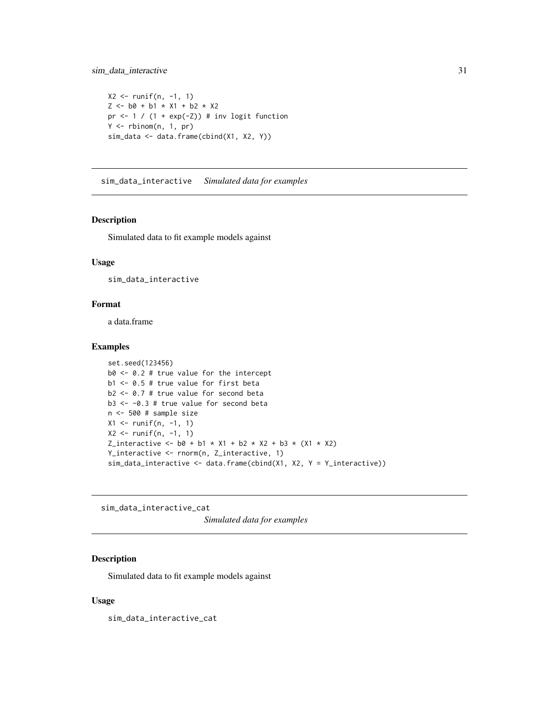```
X2 \le runif(n, -1, 1)
Z \le - b0 + b1 \times X1 + b2 \times X2pr <-1 / (1 + \exp(-Z)) # inv logit function
Y \leftarrow \text{rbinom}(n, 1, pr)sim_data <- data.frame(cbind(X1, X2, Y))
```
sim\_data\_interactive *Simulated data for examples*

# Description

Simulated data to fit example models against

#### Usage

sim\_data\_interactive

# Format

a data.frame

# Examples

```
set.seed(123456)
b0 \le -0.2 # true value for the intercept
b1 <- 0.5 # true value for first beta
b2 \le -0.7 # true value for second beta
b3 \le -0.3 # true value for second beta
n <- 500 # sample size
X1 <- runif(n, -1, 1)
X2 \le runif(n, -1, 1)
Z_interactive <- b0 + b1 \times X1 + b2 \times X2 + b3 \times (X1 \times X2)Y_interactive <- rnorm(n, Z_interactive, 1)
sim\_data\_interactive \leftarrow data frame(cbind(X1, X2, Y = Y_interactive))
```
sim\_data\_interactive\_cat

*Simulated data for examples*

#### Description

Simulated data to fit example models against

#### Usage

sim\_data\_interactive\_cat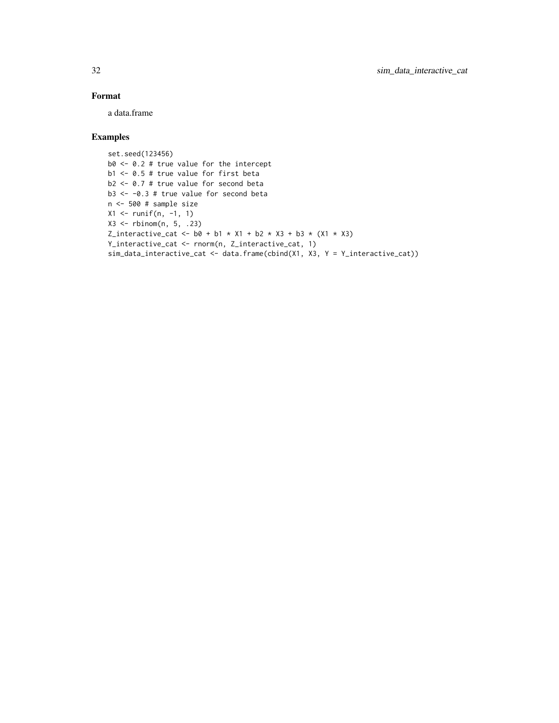# Format

a data.frame

# Examples

set.seed(123456) b0 <- 0.2 # true value for the intercept b1 <- 0.5 # true value for first beta b2 <- 0.7 # true value for second beta b3 <- -0.3 # true value for second beta n <- 500 # sample size  $X1$  <- runif(n, -1, 1) X3 <- rbinom(n, 5, .23) Z\_interactive\_cat <-  $b0 + b1 \times X1 + b2 \times X3 + b3 \times (X1 \times X3)$ Y\_interactive\_cat <- rnorm(n, Z\_interactive\_cat, 1) sim\_data\_interactive\_cat <- data.frame(cbind(X1, X3, Y = Y\_interactive\_cat))